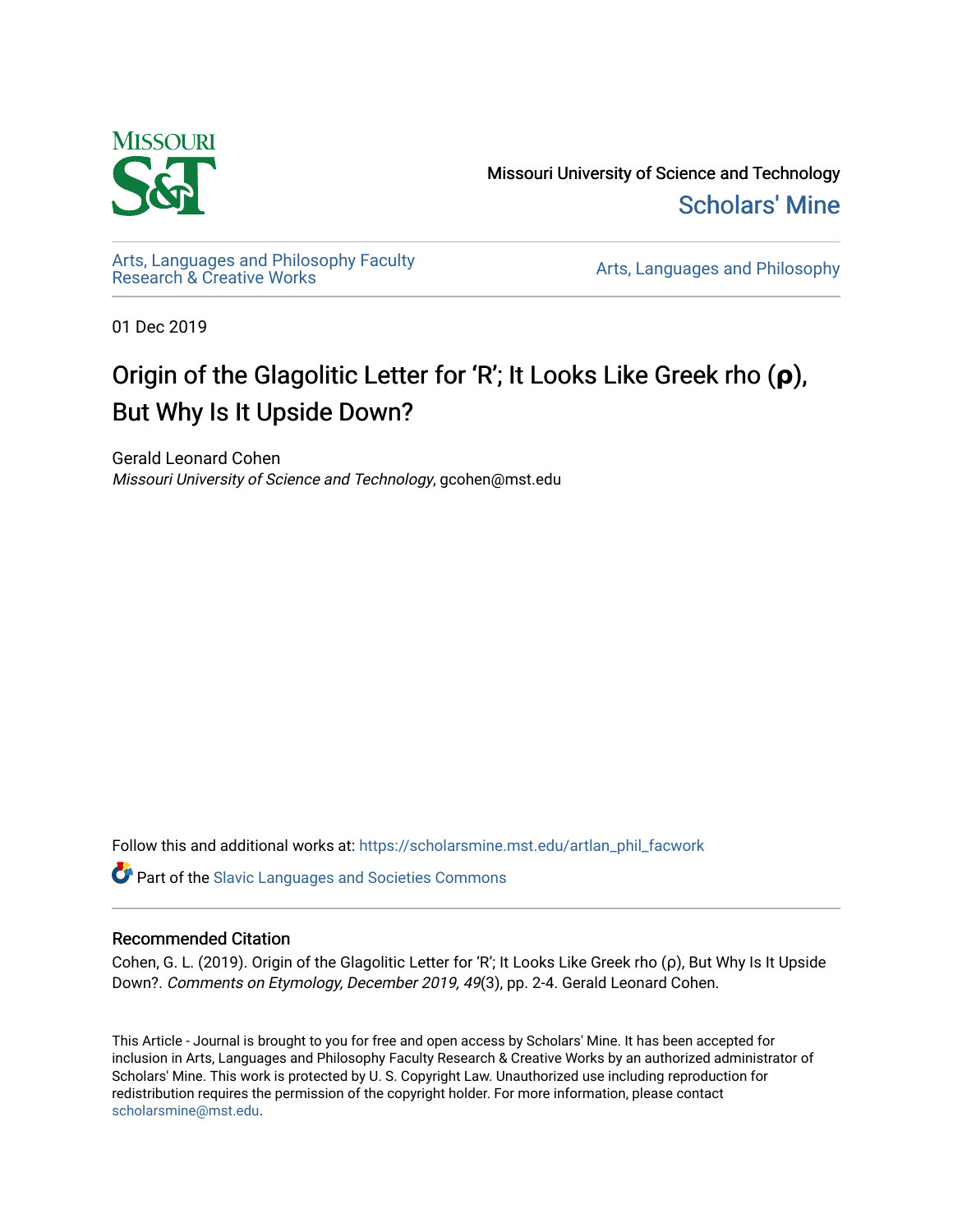

Missouri University of Science and Technology [Scholars' Mine](https://scholarsmine.mst.edu/) 

[Arts, Languages and Philosophy Faculty](https://scholarsmine.mst.edu/artlan_phil_facwork) 

Arts, Languages and Philosophy

01 Dec 2019

# Origin of the Glagolitic Letter for 'R'; It Looks Like Greek rho (**ρ**), But Why Is It Upside Down?

Gerald Leonard Cohen Missouri University of Science and Technology, gcohen@mst.edu

Follow this and additional works at: [https://scholarsmine.mst.edu/artlan\\_phil\\_facwork](https://scholarsmine.mst.edu/artlan_phil_facwork?utm_source=scholarsmine.mst.edu%2Fartlan_phil_facwork%2F159&utm_medium=PDF&utm_campaign=PDFCoverPages) 

Part of the [Slavic Languages and Societies Commons](http://network.bepress.com/hgg/discipline/486?utm_source=scholarsmine.mst.edu%2Fartlan_phil_facwork%2F159&utm_medium=PDF&utm_campaign=PDFCoverPages) 

#### Recommended Citation

Cohen, G. L. (2019). Origin of the Glagolitic Letter for 'R'; It Looks Like Greek rho (ρ), But Why Is It Upside Down?. Comments on Etymology, December 2019, 49(3), pp. 2-4. Gerald Leonard Cohen.

This Article - Journal is brought to you for free and open access by Scholars' Mine. It has been accepted for inclusion in Arts, Languages and Philosophy Faculty Research & Creative Works by an authorized administrator of Scholars' Mine. This work is protected by U. S. Copyright Law. Unauthorized use including reproduction for redistribution requires the permission of the copyright holder. For more information, please contact [scholarsmine@mst.edu.](mailto:scholarsmine@mst.edu)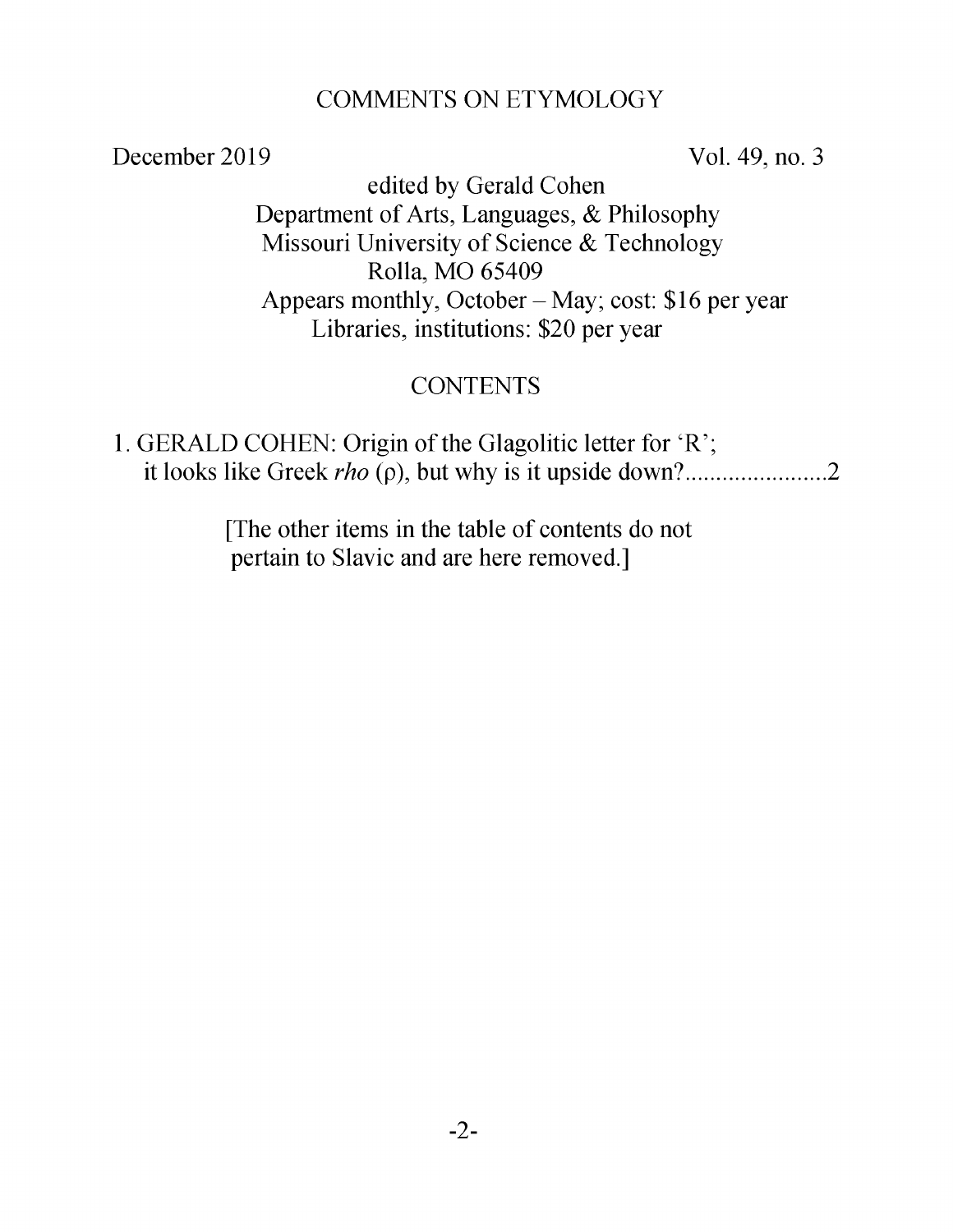#### COMMENTS ON ETYMOLOGY

December 2019 Vol. 49, no. 3

edited by Gerald Cohen Department of Arts, Languages, & Philosophy Missouri University of Science & Technology Rolla, MO 65409 Appears monthly, October  $-May$ ; cost: \$16 per year Libraries, institutions: \$20 per year

#### **CONTENTS**

1. GERALD COHEN: Origin of the Glagolitic letter for 'R'; it looks like Greek *rho* (p), but why is it upside down?......................2

> [The other items in the table of contents do not pertain to Slavic and are here removed.]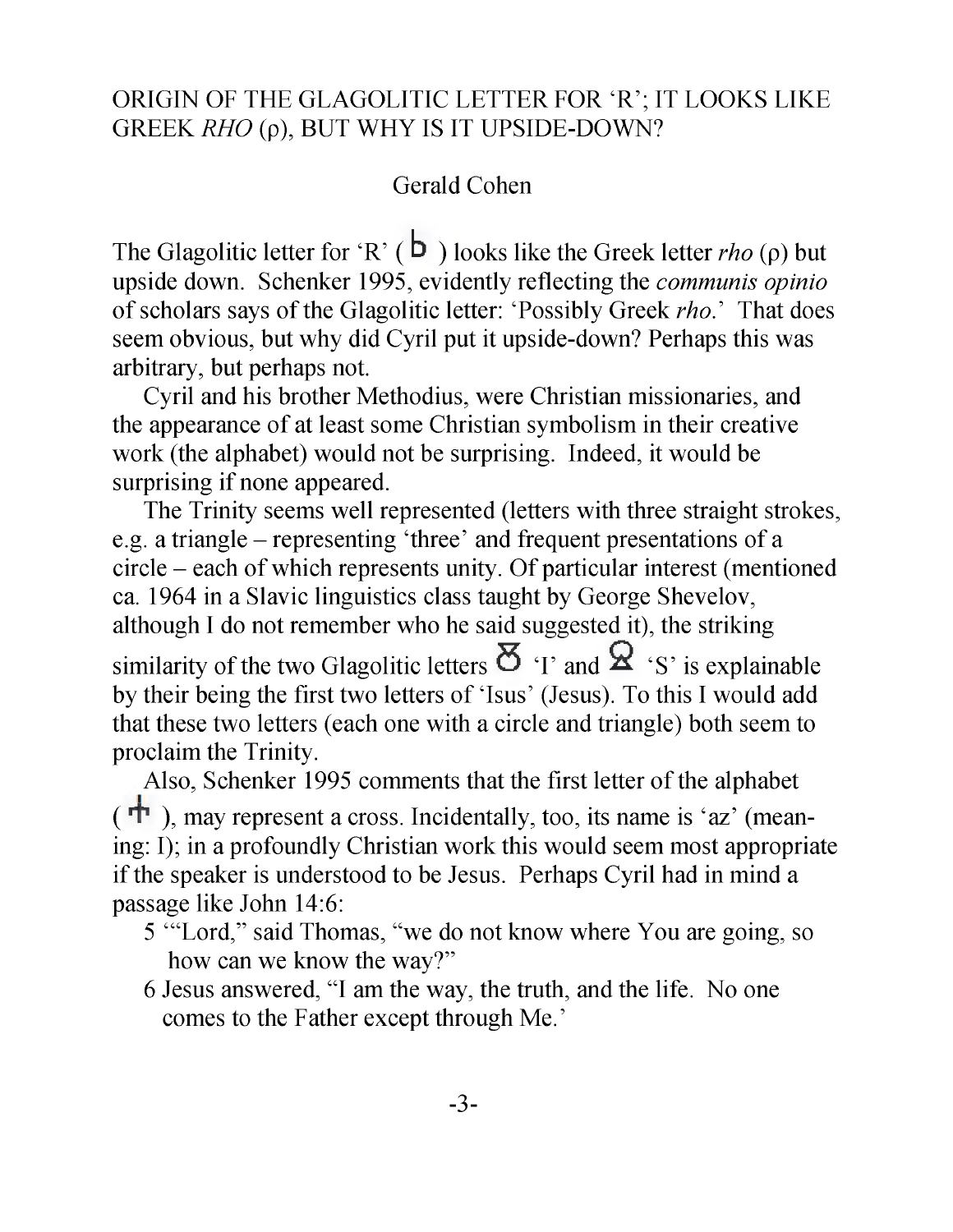### ORIGIN OF THE GLAGOLITIC LETTER FOR 'R'; IT LOOKS LIKE GREEK *RHO* (p), BUT WHY IS IT UPSIDE-DOWN?

### Gerald Cohen

The Glagolitic letter for 'R' ( $\overline{b}$ ) looks like the Greek letter *rho* ( $\rho$ ) but upside down. Schenker 1995, evidently reflecting the *communis opinio* of scholars says of the Glagolitic letter: 'Possibly Greek *rho*.' That does seem obvious, but why did Cyril put it upside-down? Perhaps this was arbitrary, but perhaps not.

Cyril and his brother Methodius, were Christian missionaries, and the appearance of at least some Christian symbolism in their creative work (the alphabet) would not be surprising. Indeed, it would be surprising if none appeared.

The Trinity seems well represented (letters with three straight strokes, e.g. a triangle - representing 'three' and frequent presentations of a circle - each of which represents unity. Of particular interest (mentioned ca. 1964 in a Slavic linguistics class taught by George Shevelov, although I do not remember who he said suggested it), the striking similarity of the two Glagolitic letters  $\mathbf{\Sigma}_{\text{I}}$  and  $\mathbf{\Sigma}_{\text{I}}$  is explainable by their being the first two letters of 'Isus' (Jesus). To this I would add that these two letters (each one with a circle and triangle) both seem to proclaim the Trinity.

Also, Schenker 1995 comments that the first letter of the alphabet  $(\overrightarrow{\mathbf{T}})$ , may represent a cross. Incidentally, too, its name is 'az' (meaning: I); in a profoundly Christian work this would seem most appropriate if the speaker is understood to be Jesus. Perhaps Cyril had in mind a passage like John 14:6:

- 5 '"Lord," said Thomas, "we do not know where You are going, so how can we know the way?"
- 6 Jesus answered, "I am the way, the truth, and the life. No one comes to the Father except through Me.'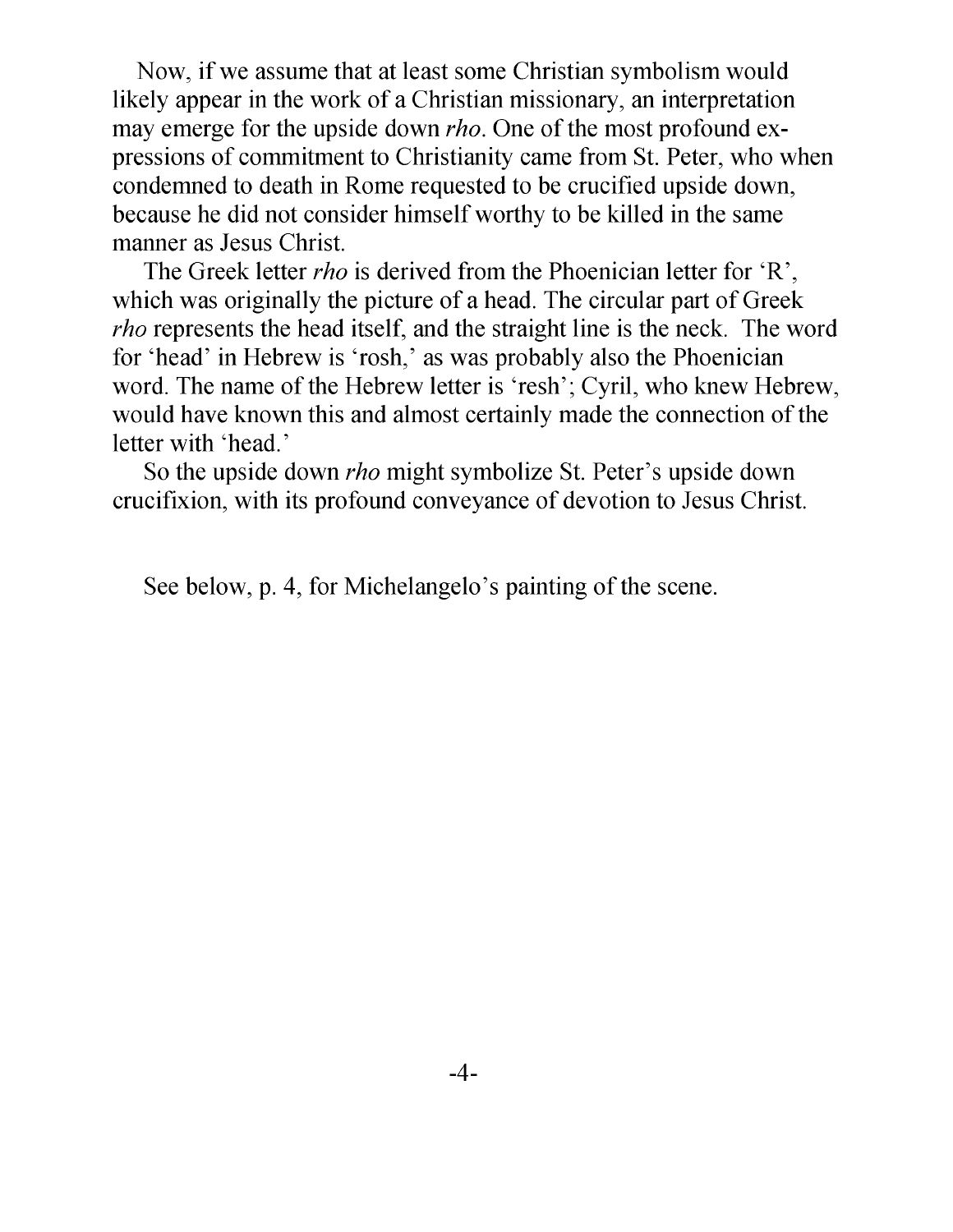Now, if we assume that at least some Christian symbolism would likely appear in the work of a Christian missionary, an interpretation may emerge for the upside down *rho.* One of the most profound expressions of commitment to Christianity came from St. Peter, who when condemned to death in Rome requested to be crucified upside down, because he did not consider himself worthy to be killed in the same manner as Jesus Christ.

The Greek letter *rho* is derived from the Phoenician letter for 'R', which was originally the picture of a head. The circular part of Greek *rho* represents the head itself, and the straight line is the neck. The word for 'head' in Hebrew is 'rosh,' as was probably also the Phoenician word. The name of the Hebrew letter is 'resh'; Cyril, who knew Hebrew, would have known this and almost certainly made the connection of the letter with 'head.'

So the upside down *rho* might symbolize St. Peter's upside down crucifixion, with its profound conveyance of devotion to Jesus Christ.

See below, p. 4, for Michelangelo's painting of the scene.